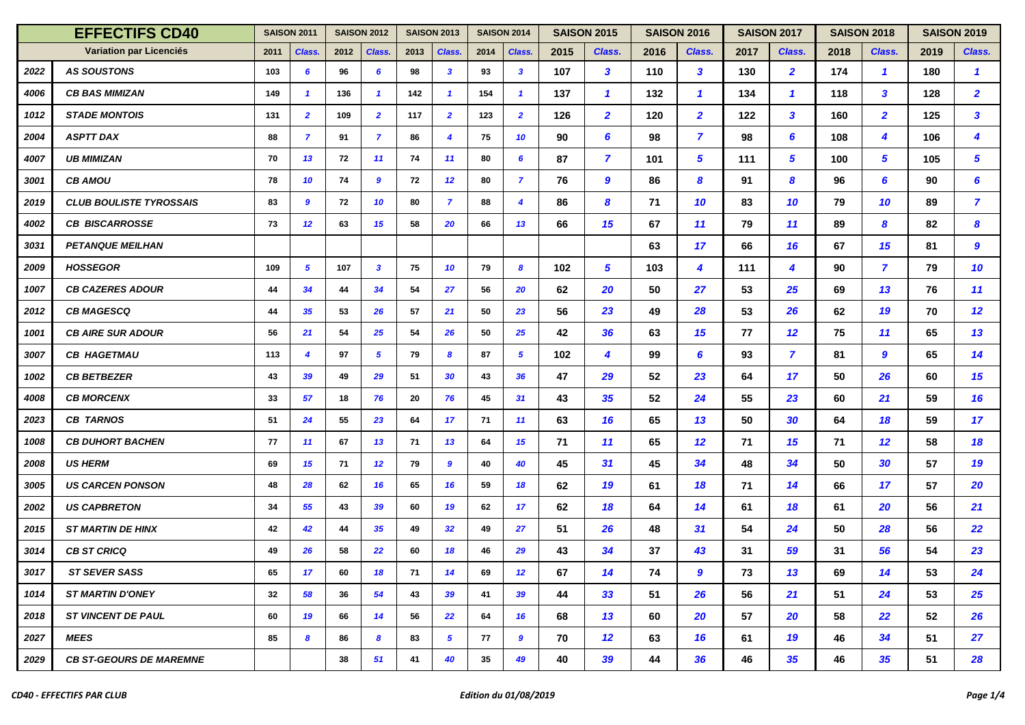| <b>EFFECTIFS CD40</b> |                                | <b>SAISON 2011</b> |                | <b>SAISON 2012</b> |                | <b>SAISON 2013</b> |                            | <b>SAISON 2014</b> |                         | <b>SAISON 2015</b> |                         | <b>SAISON 2016</b> |                | <b>SAISON 2017</b> |                         | <b>SAISON 2018</b> |                  | <b>SAISON 2019</b> |                         |
|-----------------------|--------------------------------|--------------------|----------------|--------------------|----------------|--------------------|----------------------------|--------------------|-------------------------|--------------------|-------------------------|--------------------|----------------|--------------------|-------------------------|--------------------|------------------|--------------------|-------------------------|
|                       | Variation par Licenciés        | 2011               | Class.         | 2012               | Class.         | 2013               | Class.                     | 2014               | Class.                  | 2015               | Class.                  | 2016               | Class.         | 2017               | Class.                  | 2018               | Class.           | 2019               | Class.                  |
| 2022                  | <b>AS SOUSTONS</b>             | 103                | 6              | 96                 | 6              | 98                 | 3                          | 93                 | $\mathbf{3}$            | 107                | 3                       | 110                | 3              | 130                | $\overline{2}$          | 174                | $\mathbf{1}$     | 180                | $\mathbf{1}$            |
| 4006                  | <b>CB BAS MIMIZAN</b>          | 149                | -1             | 136                | $\mathbf{1}$   | 142                | $\mathbf 1$                | 154                | $\overline{\mathbf{1}}$ | 137                | $\mathbf{1}$            | 132                | $\mathbf{1}$   | 134                | $\mathbf{1}$            | 118                | 3                | 128                | $\overline{2}$          |
| 1012                  | <b>STADE MONTOIS</b>           | 131                | $\overline{2}$ | 109                | $\overline{2}$ | 117                | $\overline{2}$             | 123                | $\overline{2}$          | 126                | $\overline{\mathbf{2}}$ | 120                | $\overline{2}$ | 122                | 3                       | 160                | $\overline{2}$   | 125                | $\mathbf{3}$            |
| 2004                  | <b>ASPTT DAX</b>               | 88                 | $\overline{7}$ | 91                 | $\overline{7}$ | 86                 | $\boldsymbol{\mathcal{A}}$ | 75                 | 10                      | 90                 | 6                       | 98                 | $\overline{7}$ | 98                 | 6                       | 108                | $\boldsymbol{4}$ | 106                | $\overline{\mathbf{4}}$ |
| 4007                  | <b>UB MIMIZAN</b>              | 70                 | 13             | 72                 | 11             | 74                 | 11                         | 80                 | 6                       | 87                 | $\overline{7}$          | 101                | 5              | 111                | 5                       | 100                | $5\phantom{.0}$  | 105                | $\sqrt{5}$              |
| 3001                  | <b>CB AMOU</b>                 | 78                 | 10             | 74                 | 9              | 72                 | 12                         | 80                 | $\overline{7}$          | 76                 | 9                       | 86                 | 8              | 91                 | 8                       | 96                 | 6                | 90                 | 6                       |
| 2019                  | <b>CLUB BOULISTE TYROSSAIS</b> | 83                 | 9              | 72                 | 10             | 80                 | $\overline{7}$             | 88                 | $\overline{\mathbf{4}}$ | 86                 | 8                       | 71                 | 10             | 83                 | 10                      | 79                 | 10               | 89                 | $\overline{7}$          |
| 4002                  | <b>CB BISCARROSSE</b>          | 73                 | 12             | 63                 | 15             | 58                 | 20                         | 66                 | 13                      | 66                 | 15                      | 67                 | 11             | 79                 | 11                      | 89                 | 8                | 82                 | 8                       |
| 3031                  | <b>PETANQUE MEILHAN</b>        |                    |                |                    |                |                    |                            |                    |                         |                    |                         | 63                 | 17             | 66                 | 16                      | 67                 | 15               | 81                 | 9                       |
| 2009                  | <b>HOSSEGOR</b>                | 109                | 5              | 107                | $\mathbf{3}$   | 75                 | 10                         | 79                 | 8                       | 102                | 5                       | 103                | 4              | 111                | $\overline{\mathbf{4}}$ | 90                 | $\overline{7}$   | 79                 | 10                      |
| 1007                  | <b>CB CAZERES ADOUR</b>        | 44                 | 34             | 44                 | 34             | 54                 | 27                         | 56                 | 20                      | 62                 | 20                      | 50                 | 27             | 53                 | 25                      | 69                 | 13               | 76                 | 11                      |
| 2012                  | <b>CB MAGESCQ</b>              | 44                 | 35             | 53                 | 26             | 57                 | 21                         | 50                 | 23                      | 56                 | 23                      | 49                 | 28             | 53                 | 26                      | 62                 | 19               | 70                 | 12                      |
| 1001                  | <b>CB AIRE SUR ADOUR</b>       | 56                 | 21             | 54                 | 25             | 54                 | 26                         | 50                 | 25                      | 42                 | 36                      | 63                 | 15             | 77                 | 12                      | 75                 | 11               | 65                 | 13                      |
| 3007                  | <b>CB HAGETMAU</b>             | 113                | 4              | 97                 | 5              | 79                 | 8                          | 87                 | $5^{\circ}$             | 102                | 4                       | 99                 | 6              | 93                 | $\overline{7}$          | 81                 | 9                | 65                 | 14                      |
| 1002                  | <b>CB BETBEZER</b>             | 43                 | 39             | 49                 | 29             | 51                 | 30                         | 43                 | 36                      | 47                 | 29                      | 52                 | 23             | 64                 | 17                      | 50                 | 26               | 60                 | 15                      |
| 4008                  | <b>CB MORCENX</b>              | 33                 | 57             | 18                 | 76             | 20                 | 76                         | 45                 | 31                      | 43                 | 35                      | 52                 | 24             | 55                 | 23                      | 60                 | 21               | 59                 | 16                      |
| 2023                  | <b>CB TARNOS</b>               | 51                 | 24             | 55                 | 23             | 64                 | 17                         | 71                 | 11                      | 63                 | 16                      | 65                 | 13             | 50                 | 30                      | 64                 | 18               | 59                 | 17                      |
| 1008                  | <b>CB DUHORT BACHEN</b>        | 77                 | 11             | 67                 | 13             | 71                 | 13                         | 64                 | 15                      | 71                 | 11                      | 65                 | 12             | 71                 | 15                      | 71                 | 12 <sup>2</sup>  | 58                 | 18                      |
| 2008                  | <b>US HERM</b>                 | 69                 | 15             | 71                 | 12             | 79                 | $\boldsymbol{g}$           | 40                 | 40                      | 45                 | 31                      | 45                 | 34             | 48                 | 34                      | 50                 | 30               | 57                 | 19                      |
| 3005                  | <b>US CARCEN PONSON</b>        | 48                 | 28             | 62                 | 16             | 65                 | 16                         | 59                 | 18                      | 62                 | 19                      | 61                 | 18             | 71                 | 14                      | 66                 | 17               | 57                 | 20                      |
| 2002                  | <b>US CAPBRETON</b>            | 34                 | 55             | 43                 | 39             | 60                 | 19                         | 62                 | 17                      | 62                 | 18                      | 64                 | 14             | 61                 | 18                      | 61                 | 20               | 56                 | 21                      |
| 2015                  | <b>ST MARTIN DE HINX</b>       | 42                 | 42             | 44                 | 35             | 49                 | 32                         | 49                 | 27                      | 51                 | 26                      | 48                 | 31             | 54                 | 24                      | 50                 | 28               | 56                 | 22                      |
| 3014                  | <b>CB ST CRICQ</b>             | 49                 | 26             | 58                 | 22             | 60                 | 18                         | 46                 | 29                      | 43                 | 34                      | 37                 | 43             | 31                 | 59                      | 31                 | 56               | 54                 | 23                      |
| ۳<br>3017             | <b>ST SEVER SASS</b>           | 65                 | 17             | 60                 | 18             | 71                 | 14                         | 69                 | 12                      | 67                 | 14                      | 74                 | 9              | 73                 | 13                      | 69                 | 14               | 53                 | 24                      |
| 1014                  | <b>ST MARTIN D'ONEY</b>        | 32                 | 58             | 36                 | 54             | 43                 | 39                         | 41                 | 39                      | 44                 | 33                      | 51                 | 26             | 56                 | 21                      | 51                 | 24               | 53                 | 25                      |
| 2018                  | <b>ST VINCENT DE PAUL</b>      | 60                 | 19             | 66                 | 14             | 56                 | 22                         | 64                 | 16                      | 68                 | 13                      | 60                 | 20             | 57                 | 20                      | 58                 | 22               | 52                 | 26                      |
| 2027                  | <b>MEES</b>                    | 85                 | 8              | 86                 | 8              | 83                 | 5                          | 77                 | 9                       | 70                 | 12                      | 63                 | 16             | 61                 | 19                      | 46                 | 34               | 51                 | 27                      |
| 2029                  | <b>CB ST-GEOURS DE MAREMNE</b> |                    |                | 38                 | 51             | 41                 | 40                         | 35                 | 49                      | 40                 | 39                      | 44                 | 36             | 46                 | 35                      | 46                 | 35               | 51                 | 28                      |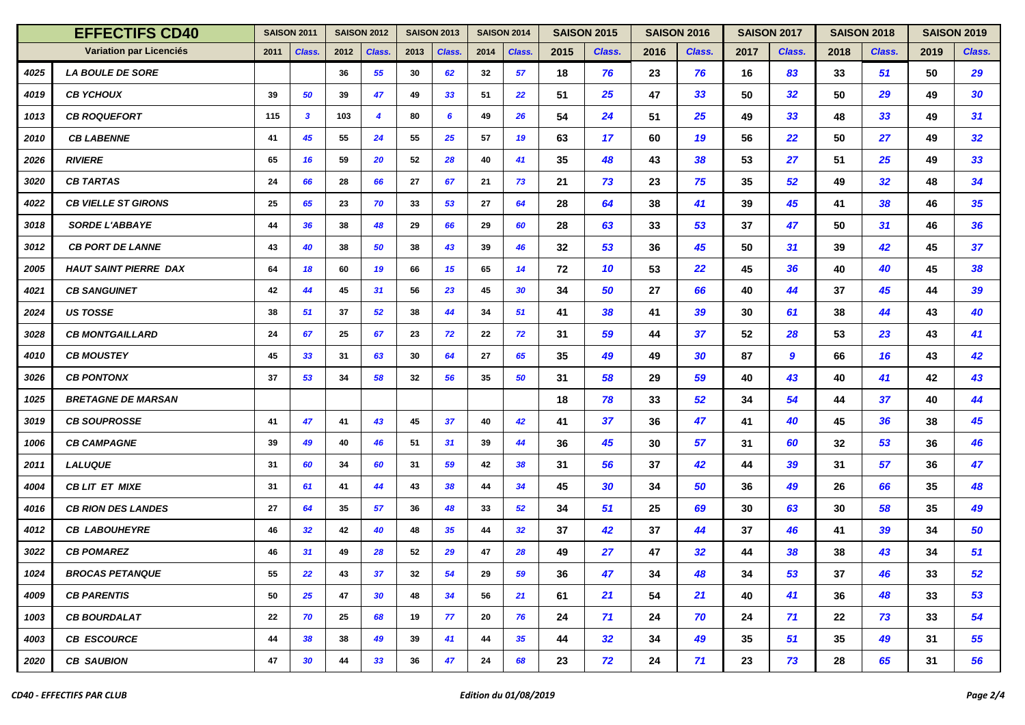| <b>EFFECTIFS CD40</b> |                              | <b>SAISON 2011</b> |              | <b>SAISON 2012</b> |                  | <b>SAISON 2013</b> |                 | <b>SAISON 2014</b> |        | <b>SAISON 2015</b> |        | <b>SAISON 2016</b> |        | <b>SAISON 2017</b> |        | <b>SAISON 2018</b> |                 | <b>SAISON 2019</b> |                 |
|-----------------------|------------------------------|--------------------|--------------|--------------------|------------------|--------------------|-----------------|--------------------|--------|--------------------|--------|--------------------|--------|--------------------|--------|--------------------|-----------------|--------------------|-----------------|
|                       | Variation par Licenciés      | 2011               | Class.       | 2012               | Class.           | 2013               | Class.          | 2014               | Class. | 2015               | Class. | 2016               | Class. | 2017               | Class. | 2018               | Class.          | 2019               | Class.          |
| 4025                  | <b>LA BOULE DE SORE</b>      |                    |              | 36                 | 55               | 30                 | 62              | 32                 | 57     | 18                 | 76     | 23                 | 76     | 16                 | 83     | 33                 | 51              | 50                 | 29              |
| 4019                  | <b>CB YCHOUX</b>             | 39                 | 50           | 39                 | 47               | 49                 | 33              | 51                 | 22     | 51                 | 25     | 47                 | 33     | 50                 | 32     | 50                 | 29              | 49                 | 30              |
| 1013                  | <b>CB ROQUEFORT</b>          | 115                | $\mathbf{3}$ | 103                | $\boldsymbol{4}$ | 80                 | 6               | 49                 | 26     | 54                 | 24     | 51                 | 25     | 49                 | 33     | 48                 | 33 <sub>3</sub> | 49                 | 31              |
| 2010                  | <b>CB LABENNE</b>            | 41                 | 45           | 55                 | 24               | 55                 | 25              | 57                 | 19     | 63                 | 17     | 60                 | 19     | 56                 | 22     | 50                 | 27              | 49                 | 32 <sub>2</sub> |
| 2026                  | <b>RIVIERE</b>               | 65                 | 16           | 59                 | 20               | 52                 | 28              | 40                 | 41     | 35                 | 48     | 43                 | 38     | 53                 | 27     | 51                 | 25              | 49                 | 33              |
| 3020                  | <b>CB TARTAS</b>             | 24                 | 66           | 28                 | 66               | 27                 | 67              | 21                 | 73     | 21                 | 73     | 23                 | 75     | 35                 | 52     | 49                 | 32              | 48                 | 34              |
| 4022                  | <b>CB VIELLE ST GIRONS</b>   | 25                 | 65           | 23                 | 70               | 33                 | 53              | 27                 | 64     | 28                 | 64     | 38                 | 41     | 39                 | 45     | 41                 | 38              | 46                 | 35 <sub>5</sub> |
| 3018                  | <b>SORDE L'ABBAYE</b>        | 44                 | 36           | 38                 | 48               | 29                 | 66              | 29                 | 60     | 28                 | 63     | 33                 | 53     | 37                 | 47     | 50                 | 31              | 46                 | 36              |
| 3012                  | <b>CB PORT DE LANNE</b>      | 43                 | 40           | 38                 | 50               | 38                 | 43              | 39                 | 46     | 32                 | 53     | 36                 | 45     | 50                 | 31     | 39                 | 42              | 45                 | 37              |
| 2005                  | <b>HAUT SAINT PIERRE DAX</b> | 64                 | 18           | 60                 | 19               | 66                 | 15              | 65                 | 14     | 72                 | 10     | 53                 | 22     | 45                 | 36     | 40                 | 40              | 45                 | 38              |
| 4021                  | <b>CB SANGUINET</b>          | 42                 | 44           | 45                 | 31               | 56                 | 23              | 45                 | 30     | 34                 | 50     | 27                 | 66     | 40                 | 44     | 37                 | 45              | 44                 | 39              |
| 2024                  | <b>US TOSSE</b>              | 38                 | 51           | 37                 | 52               | 38                 | 44              | 34                 | 51     | 41                 | 38     | 41                 | 39     | 30                 | 61     | 38                 | 44              | 43                 | 40              |
| 3028                  | <b>CB MONTGAILLARD</b>       | 24                 | 67           | 25                 | 67               | 23                 | 72              | 22                 | 72     | 31                 | 59     | 44                 | 37     | 52                 | 28     | 53                 | 23              | 43                 | 41              |
| 4010                  | <b>CB MOUSTEY</b>            | 45                 | 33           | 31                 | 63               | 30                 | 64              | 27                 | 65     | 35                 | 49     | 49                 | 30     | 87                 | 9      | 66                 | 16              | 43                 | 42              |
| 3026                  | <b>CB PONTONX</b>            | 37                 | 53           | 34                 | 58               | 32                 | 56              | 35                 | 50     | 31                 | 58     | 29                 | 59     | 40                 | 43     | 40                 | 41              | 42                 | 43              |
| 1025                  | <b>BRETAGNE DE MARSAN</b>    |                    |              |                    |                  |                    |                 |                    |        | 18                 | 78     | 33                 | 52     | 34                 | 54     | 44                 | 37              | 40                 | 44              |
| 3019                  | <b>CB SOUPROSSE</b>          | 41                 | 47           | 41                 | 43               | 45                 | 37              | 40                 | 42     | 41                 | 37     | 36                 | 47     | 41                 | 40     | 45                 | 36              | 38                 | 45              |
| 1006                  | <b>CB CAMPAGNE</b>           | 39                 | 49           | 40                 | 46               | 51                 | 31              | 39                 | 44     | 36                 | 45     | 30                 | 57     | 31                 | 60     | 32                 | 53              | 36                 | 46              |
| 2011                  | <b>LALUQUE</b>               | 31                 | 60           | 34                 | 60               | 31                 | 59              | 42                 | 38     | 31                 | 56     | 37                 | 42     | 44                 | 39     | 31                 | 57              | 36                 | 47              |
| 4004                  | <b>CB LIT ET MIXE</b>        | 31                 | 61           | 41                 | 44               | 43                 | 38              | 44                 | 34     | 45                 | 30     | 34                 | 50     | 36                 | 49     | 26                 | 66              | 35                 | 48              |
| 4016                  | <b>CB RION DES LANDES</b>    | 27                 | 64           | 35                 | 57               | 36                 | 48              | 33                 | 52     | 34                 | 51     | 25                 | 69     | 30                 | 63     | 30                 | 58              | 35                 | 49              |
| 4012                  | <b>CB LABOUHEYRE</b>         | 46                 | 32           | 42                 | 40               | 48                 | 35 <sub>5</sub> | 44                 | 32     | 37                 | 42     | 37                 | 44     | 37                 | 46     | 41                 | 39              | 34                 | 50              |
| 3022                  | <b>CB POMAREZ</b>            | 46                 | 31           | 49                 | 28               | 52                 | 29              | 47                 | 28     | 49                 | 27     | 47                 | 32     | 44                 | 38     | 38                 | 43              | 34                 | 51              |
| 1024                  | <b>BROCAS PETANQUE</b>       | 55                 | 22           | 43                 | 37               | 32                 | 54              | 29                 | 59     | 36                 | 47     | 34                 | 48     | 34                 | 53     | 37                 | 46              | 33                 | 52              |
| 4009                  | <b>CB PARENTIS</b>           | 50                 | 25           | 47                 | 30               | 48                 | 34              | 56                 | 21     | 61                 | 21     | 54                 | 21     | 40                 | 41     | 36                 | 48              | 33                 | 53              |
| 1003                  | <b>CB BOURDALAT</b>          | 22                 | 70           | 25                 | 68               | 19                 | 77              | 20                 | 76     | 24                 | 71     | 24                 | 70     | 24                 | 71     | 22                 | 73              | 33                 | 54              |
| 4003                  | <b>CB ESCOURCE</b>           | 44                 | 38           | 38                 | 49               | 39                 | 41              | 44                 | 35     | 44                 | 32     | 34                 | 49     | 35                 | 51     | 35                 | 49              | 31                 | 55              |
| 2020                  | <b>CB SAUBION</b>            | 47                 | 30           | 44                 | 33               | 36                 | 47              | 24                 | 68     | 23                 | 72     | 24                 | 71     | 23                 | 73     | 28                 | 65              | 31                 | 56              |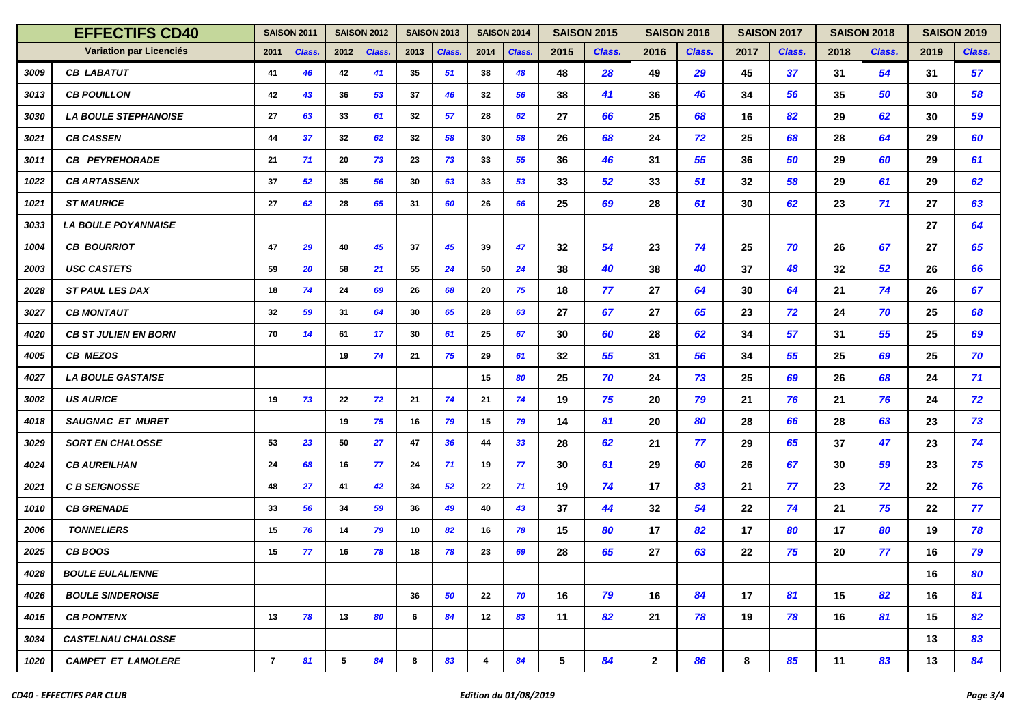| <b>EFFECTIFS CD40</b> |                             | <b>SAISON 2011</b> |        | <b>SAISON 2012</b> |        | <b>SAISON 2013</b> |        | <b>SAISON 2014</b> |        | <b>SAISON 2015</b> |        | <b>SAISON 2016</b> |        | <b>SAISON 2017</b> |        | <b>SAISON 2018</b> |        | <b>SAISON 2019</b> |        |
|-----------------------|-----------------------------|--------------------|--------|--------------------|--------|--------------------|--------|--------------------|--------|--------------------|--------|--------------------|--------|--------------------|--------|--------------------|--------|--------------------|--------|
|                       | Variation par Licenciés     | 2011               | Class. | 2012               | Class. | 2013               | Class. | 2014               | Class. | 2015               | Class. | 2016               | Class. | 2017               | Class. | 2018               | Class. | 2019               | Class. |
| 3009                  | <b>CB LABATUT</b>           | 41                 | 46     | 42                 | 41     | 35                 | 51     | 38                 | 48     | 48                 | 28     | 49                 | 29     | 45                 | 37     | 31                 | 54     | 31                 | 57     |
| 3013                  | <b>CB POUILLON</b>          | 42                 | 43     | 36                 | 53     | 37                 | 46     | 32                 | 56     | 38                 | 41     | 36                 | 46     | 34                 | 56     | 35                 | 50     | 30                 | 58     |
| 3030                  | <b>LA BOULE STEPHANOISE</b> | 27                 | 63     | 33                 | 61     | 32                 | 57     | 28                 | 62     | 27                 | 66     | 25                 | 68     | 16                 | 82     | 29                 | 62     | 30                 | 59     |
| 3021                  | <b>CB CASSEN</b>            | 44                 | 37     | 32                 | 62     | 32                 | 58     | 30                 | 58     | 26                 | 68     | 24                 | 72     | 25                 | 68     | 28                 | 64     | 29                 | 60     |
| 3011                  | <b>CB PEYREHORADE</b>       | 21                 | 71     | 20                 | 73     | 23                 | 73     | 33                 | 55     | 36                 | 46     | 31                 | 55     | 36                 | 50     | 29                 | 60     | 29                 | 61     |
| 1022                  | <b>CB ARTASSENX</b>         | 37                 | 52     | 35                 | 56     | 30                 | 63     | 33                 | 53     | 33                 | 52     | 33                 | 51     | 32                 | 58     | 29                 | 61     | 29                 | 62     |
| 1021                  | <b>ST MAURICE</b>           | 27                 | 62     | 28                 | 65     | 31                 | 60     | 26                 | 66     | 25                 | 69     | 28                 | 61     | 30                 | 62     | 23                 | 71     | 27                 | 63     |
| 3033                  | <b>LA BOULE POYANNAISE</b>  |                    |        |                    |        |                    |        |                    |        |                    |        |                    |        |                    |        |                    |        | 27                 | 64     |
| 1004                  | <b>CB BOURRIOT</b>          | 47                 | 29     | 40                 | 45     | 37                 | 45     | 39                 | 47     | 32                 | 54     | 23                 | 74     | 25                 | 70     | 26                 | 67     | 27                 | 65     |
| 2003                  | <b>USC CASTETS</b>          | 59                 | 20     | 58                 | 21     | 55                 | 24     | 50                 | 24     | 38                 | 40     | 38                 | 40     | 37                 | 48     | 32                 | 52     | 26                 | 66     |
| 2028                  | <b>ST PAUL LES DAX</b>      | 18                 | 74     | 24                 | 69     | 26                 | 68     | 20                 | 75     | 18                 | 77     | 27                 | 64     | 30                 | 64     | 21                 | 74     | 26                 | 67     |
| 3027                  | <b>CB MONTAUT</b>           | 32                 | 59     | 31                 | 64     | 30                 | 65     | 28                 | 63     | 27                 | 67     | 27                 | 65     | 23                 | 72     | 24                 | 70     | 25                 | 68     |
| 4020                  | <b>CB ST JULIEN EN BORN</b> | 70                 | 14     | 61                 | 17     | 30                 | 61     | 25                 | 67     | 30                 | 60     | 28                 | 62     | 34                 | 57     | 31                 | 55     | 25                 | 69     |
| 4005                  | <b>CB MEZOS</b>             |                    |        | 19                 | 74     | 21                 | 75     | 29                 | 61     | 32                 | 55     | 31                 | 56     | 34                 | 55     | 25                 | 69     | 25                 | 70     |
| 4027                  | <b>LA BOULE GASTAISE</b>    |                    |        |                    |        |                    |        | 15                 | 80     | 25                 | 70     | 24                 | 73     | 25                 | 69     | 26                 | 68     | 24                 | 71     |
| 3002                  | <b>US AURICE</b>            | 19                 | 73     | 22                 | 72     | 21                 | 74     | 21                 | 74     | 19                 | 75     | 20                 | 79     | 21                 | 76     | 21                 | 76     | 24                 | 72     |
| 4018                  | <b>SAUGNAC ET MURET</b>     |                    |        | 19                 | 75     | 16                 | 79     | 15                 | 79     | 14                 | 81     | 20                 | 80     | 28                 | 66     | 28                 | 63     | 23                 | 73     |
| 3029                  | <b>SORT EN CHALOSSE</b>     | 53                 | 23     | 50                 | 27     | 47                 | 36     | 44                 | 33     | 28                 | 62     | 21                 | 77     | 29                 | 65     | 37                 | 47     | 23                 | 74     |
| 4024                  | <b>CB AUREILHAN</b>         | 24                 | 68     | 16                 | 77     | 24                 | 71     | 19                 | 77     | 30                 | 61     | 29                 | 60     | 26                 | 67     | 30                 | 59     | 23                 | 75     |
| 2021                  | <b>C B SEIGNOSSE</b>        | 48                 | 27     | 41                 | 42     | 34                 | 52     | 22                 | 71     | 19                 | 74     | 17                 | 83     | 21                 | 77     | 23                 | 72     | 22                 | 76     |
| 1010                  | <b>CB GRENADE</b>           | 33                 | 56     | 34                 | 59     | 36                 | 49     | 40                 | 43     | 37                 | 44     | 32                 | 54     | 22                 | 74     | 21                 | 75     | 22                 | 77     |
| 2006                  | <b>TONNELIERS</b>           | 15                 | 76     | 14                 | 79     | 10                 | 82     | 16                 | 78     | 15                 | 80     | 17                 | 82     | 17                 | 80     | 17                 | 80     | 19                 | 78     |
| 2025                  | CB BOOS                     | 15                 | 77     | 16                 | 78     | 18                 | 78     | 23                 | 69     | 28                 | 65     | 27                 | 63     | 22                 | 75     | 20                 | 77     | 16                 | 79     |
| 4028                  | <b>BOULE EULALIENNE</b>     |                    |        |                    |        |                    |        |                    |        |                    |        |                    |        |                    |        |                    |        | 16                 | 80     |
| 4026                  | <b>BOULE SINDEROISE</b>     |                    |        |                    |        | 36                 | 50     | 22                 | 70     | 16                 | 79     | 16                 | 84     | 17                 | 81     | 15                 | 82     | 16                 | 81     |
| 4015                  | <b>CB PONTENX</b>           | 13                 | 78     | 13                 | 80     | 6                  | 84     | 12                 | 83     | 11                 | 82     | 21                 | 78     | 19                 | 78     | 16                 | 81     | 15                 | 82     |
| 3034                  | <b>CASTELNAU CHALOSSE</b>   |                    |        |                    |        |                    |        |                    |        |                    |        |                    |        |                    |        |                    |        | 13                 | 83     |
| 1020                  | <b>CAMPET ET LAMOLERE</b>   | $\overline{7}$     | 81     | 5                  | 84     | 8                  | 83     | 4                  | 84     | $5\phantom{.0}$    | 84     | $\mathbf{2}$       | 86     | 8                  | 85     | 11                 | 83     | 13                 | 84     |